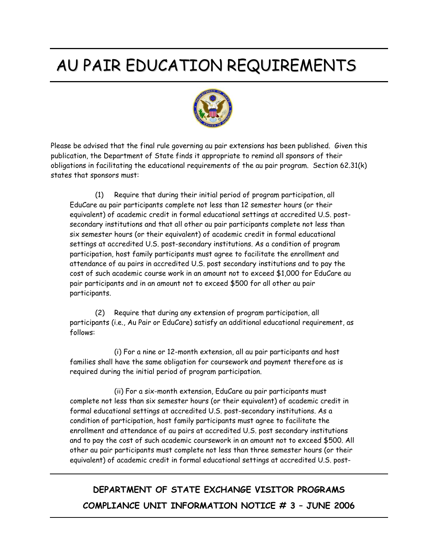## AU PAIR EDUCATION REQUIREMENTS



Please be advised that the final rule governing au pair extensions has been published. Given this publication, the Department of State finds it appropriate to remind all sponsors of their obligations in facilitating the educational requirements of the au pair program. Section 62.31(k) states that sponsors must:

(1) Require that during their initial period of program participation, all EduCare au pair participants complete not less than 12 semester hours (or their equivalent) of academic credit in formal educational settings at accredited U.S. postsecondary institutions and that all other au pair participants complete not less than six semester hours (or their equivalent) of academic credit in formal educational settings at accredited U.S. post-secondary institutions. As a condition of program participation, host family participants must agree to facilitate the enrollment and attendance of au pairs in accredited U.S. post secondary institutions and to pay the cost of such academic course work in an amount not to exceed \$1,000 for EduCare au pair participants and in an amount not to exceed \$500 for all other au pair participants.

(2) Require that during any extension of program participation, all participants (i.e., Au Pair or EduCare) satisfy an additional educational requirement, as follows:

(i) For a nine or 12-month extension, all au pair participants and host families shall have the same obligation for coursework and payment therefore as is required during the initial period of program participation.

(ii) For a six-month extension, EduCare au pair participants must complete not less than six semester hours (or their equivalent) of academic credit in formal educational settings at accredited U.S. post-secondary institutions. As a condition of participation, host family participants must agree to facilitate the enrollment and attendance of au pairs at accredited U.S. post secondary institutions and to pay the cost of such academic coursework in an amount not to exceed \$500. All other au pair participants must complete not less than three semester hours (or their equivalent) of academic credit in formal educational settings at accredited U.S. post-

## **DEPARTMENT OF STATE EXCHANGE VISITOR PROGRAMS COMPLIANCE UNIT INFORMATION NOTICE # 3 – JUNE 2006**